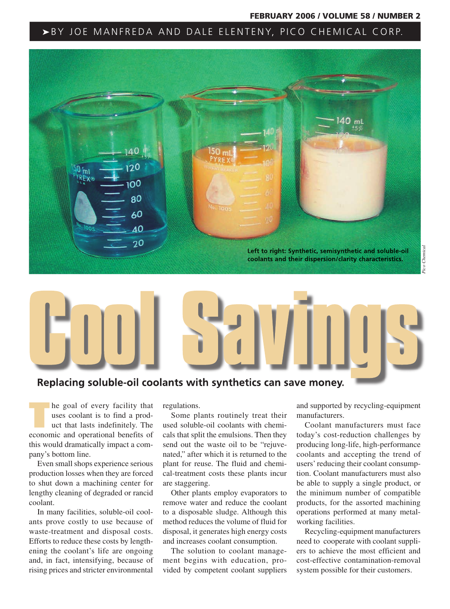#### FEBRUARY 2006 / VOLUME 58 / NUMBER 2

## ▶BY JOE MANFREDA AND DALE ELENTENY, PICO CHEMICAL CORP.



## **Replacing soluble-oil coolants with synthetics can save money.**

**EXECUTE:** The goal of every facility that uses coolant is to find a product that lasts indefinitely. The set of the set of the set of the set of the set of the set of the set of the set of the set of the set of the set of uses coolant is to find a prodeconomic and operational benefits of this would dramatically impact a company's bottom line.

Even small shops experience serious production losses when they are forced to shut down a machining center for lengthy cleaning of degraded or rancid coolant.

In many facilities, soluble-oil coolants prove costly to use because of waste-treatment and disposal costs. Efforts to reduce these costs by lengthening the coolant's life are ongoing and, in fact, intensifying, because of rising prices and stricter environmental

regulations.

Some plants routinely treat their used soluble-oil coolants with chemicals that split the emulsions. Then they send out the waste oil to be "rejuvenated," after which it is returned to the plant for reuse. The fluid and chemical-treatment costs these plants incur are staggering.

Other plants employ evaporators to remove water and reduce the coolant to a disposable sludge. Although this method reduces the volume of fluid for disposal, it generates high energy costs and increases coolant consumption.

The solution to coolant management begins with education, provided by competent coolant suppliers

and supported by recycling-equipment manufacturers.

Coolant manufacturers must face today's cost-reduction challenges by producing long-life, high-performance coolants and accepting the trend of users' reducing their coolant consumption. Coolant manufacturers must also be able to supply a single product, or the minimum number of compatible products, for the assorted machining operations performed at many metalworking facilities.

Recycling-equipment manufacturers need to cooperate with coolant suppliers to achieve the most efficient and cost-effective contamination-removal system possible for their customers.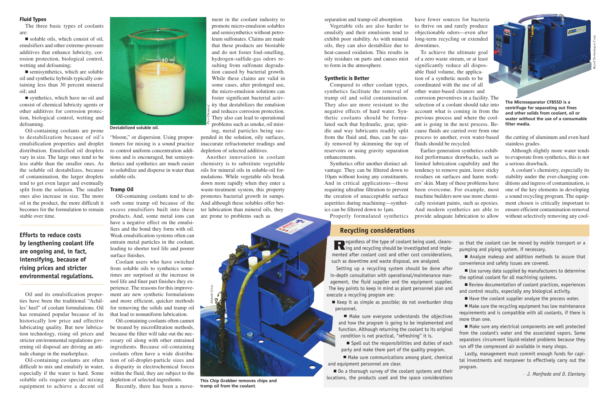### Fluid Types

The three basic types of coolants are:

■ soluble oils, which consist of oil, emulsifiers and other extreme-pressure additives that enhance lubricity, corrosion protection, biological control, wetting and defoaming;

■ semisynthetics, which are soluble oil and synthetic hybrids typically containing less than 30 percent mineral oil; and

■ synthetics, which have no oil and consist of chemical lubricity agents or other additives for corrosion protection, biological control, wetting and defoaming.

Oil-containing coolants are prone to destabilization because of oil's emulsification properties and droplet distribution. Emulsified oil droplets vary in size. The large ones tend to be less stable than the smaller ones. As the soluble oil destabilizes, because of contamination, the larger droplets tend to get even larger and eventually split from the solution. The smaller ones also increase in size. The more oil in the product, the more difficult it becomes for the formulation to remain stable over time.

**Efforts to reduce costs by lengthening coolant life are ongoing and, in fact, intensifying, because of rising prices and stricter environmental regulations.**

Oil and its emulsification properties have been the traditional "Achilles' heel" of coolant formulations. Oil has remained popular because of its historically low price and effective lubricating quality. But new lubrication technology, rising oil prices and stricter environmental regulations governing oil disposal are driving an attitude change in the marketplace.

Oil-containing coolants are often difficult to mix and emulsify in water, especially if the water is hard. Some soluble oils require special mixing equipment to achieve a decent oil



#### **Destabilized soluble oil.**

"bloom," or dispersion. Using proportioners for mixing is a sound practice to control uniform concentration additions and is encouraged, but semisynthetics and synthetics are much easier to solubilize and disperse in water than soluble oils.

#### Tramp Oil

Oil-containing coolants tend to absorb some tramp oil because of the excess emulsifiers built into these products. And, some metal ions can have a negative effect on the emulsifiers and the bond they form with oil. Weak emulsification systems often can entrain metal particles in the coolant, leading to shorter tool life and poorer surface finishes.

Coolant users who have switched from soluble oils to synthetics sometimes are surprised at the increase in tool life and finer part finishes they experience. The reasons for this improvement are new synthetic formulations and more efficient, quicker methods for removing the solids and tramp oil that lead to nonuniform lubrication.

Oil-containing coolants often cannot be treated by microfiltration methods, because the filter will take out the necessary oil along with other entrained ingredients. Because oil-containing coolants often have a wide distribution of oil-droplet-particle sizes and a disparity in electrochemical forces within the fluid, they are subject to the depletion of selected ingredients.

Recently, there has been a move-

ment in the coolant industry to promote micro-emulsion solubles and semisynthetics without petroleum sulfonates. Claims are made that these products are biostable and do not foster foul-smelling, hydrogen-sulfide-gas odors resulting from sulfonate degradation caused by bacterial growth. While these claims are valid in some cases, after prolonged use, the micro-emulsion solutions can foster significant bacterial activity that destabilizes the emulsion and reduces corrosion protection. They also can lead to operational problems such as smoke, oil misting, metal particles being sus-

pended in the solution, oily surfaces, inaccurate refractometer readings and depletion of selected additives.

*Pico Chemical*

Another innovation in coolant chemistry is to substitute vegetable oils for mineral oils in soluble-oil formulations. While vegetable oils break down more rapidly when they enter a waste-treatment system, this property promotes bacterial growth in sumps. And although these solubles offer better lubrication than mineral oils, they are prone to problems such as



separation and tramp-oil absorption.

Vegetable oils are also harder to emulsify and their emulsions tend to exhibit poor stability. As with mineral oils, they can also destabilize due to heat-caused oxidation. This results in oily residues on parts and causes mist to form in the atmosphere.

#### Synthetic is Better

Compared to other coolant types, synthetics facilitate the removal of tramp oil and solid contamination. They also are more resistant to the negative effects of hard water. Synthetic coolants should be formulated such that hydraulic, gear, spindle and way lubricants readily split from the fluid and, thus, can be easily removed by skimming the top of reservoirs or using gravity separation enhancements.

Synthetics offer another distinct advantage. They can be filtered down to 10µm without losing any constituents. And in critical applications—those requiring ultrafine filtration to prevent the creation of unacceptable surface asperities during machining—synthetics can be filtered down to 1µm. Properly formulated synthetics

## **Recycling considerations**

**Regardless of the type of coolant being used, cleans-**<br> $\mathbf{R}$  and recycling should be investigated and implemented after coolant cost and other cost considerations, such as downtime and waste disposal, are analyzed.

Setting up a recycling system should be done after in-depth consultation with operational/maintenance management, the fluid supplier and the equipment supplier. The key points to keep in mind as plant personnel plan and execute a recycling program are:

■ Keep it as simple as possible; do not overburden shop personnel.

■ Make sure everyone understands the objectives and how the program is going to be implemented and function. Although returning the coolant to its original condition is not practical, "refreshing" it is.

■ Spell out the responsibilities and duties of each party and make them part of the quality program.

■ Make sure communications among plant, chemical and equipment personnel are clear.

■ Do a thorough survey of the coolant systems and their locations, the products used and the space considerations

have fewer sources for bacteria to thrive on and rarely produce objectionable odors—even after long-term recycling or extended downtimes.

To achieve the ultimate goal of a zero waste stream, or at least significantly reduce all disposable fluid volume, the application of a synthetic needs to be coordinated with the use of all other water-based cleaners and corrosion preventives in a facility. The selection of a coolant should take into account what is coming in from the previous process and where the coolant is going in the next process. Because fluids are carried over from one process to another, even water-based fluids should be recycled.

Earlier-generation synthetics exhibited performance drawbacks, such as limited lubrication capability and the tendency to remove paint, leave sticky residues on surfaces and harm workers' skin. Many of these problems have been overcome. For example, most machine builders now use more chemically resistant paints, such as epoxies. And modern synthetics are able to provide adequate lubrication to allow

> so that the coolant can be moved by mobile transport or a pumping and piping system, if necessary.

> ■ Analyze makeup and addition methods to assure that convenience and safety issues are covered.

> ■ Use survey data supplied by manufacturers to determine the optimal coolant for all machining systems.

> ■ Review documentation of coolant practices, experiences and control results, especially any biological activity.

■ Have the coolant supplier analyze the process water.

■ Make sure the recycling equipment has low maintenance requirements and is compatible with all coolants, if there is more than one.

■ Make sure any electrical components are well protected from the coolant's water and the associated vapors. Some separators circumvent liquid-related problems because they run off the compressed air available in many shops.

Lastly, management must commit enough funds for capital investments and manpower to effectively carry out the program.

—*J. Manfreda and D. Elenteny*

**The Microseparator CF85SD is a centrifuge for separating out fines and other solids from coolant, oil or water without the use of a consumable filter media.**

the cutting of aluminum and even hard stainless grades.

Although slightly more water tends to evaporate from synthetics, this is not a serious drawback.

A coolant's chemistry, especially its stability under the ever-changing conditions and ingress of contamination, is one of the key elements in developing a sound recycling program. The equipment chosen is critically important to ensure efficient contamination removal without selectively removing any cool-